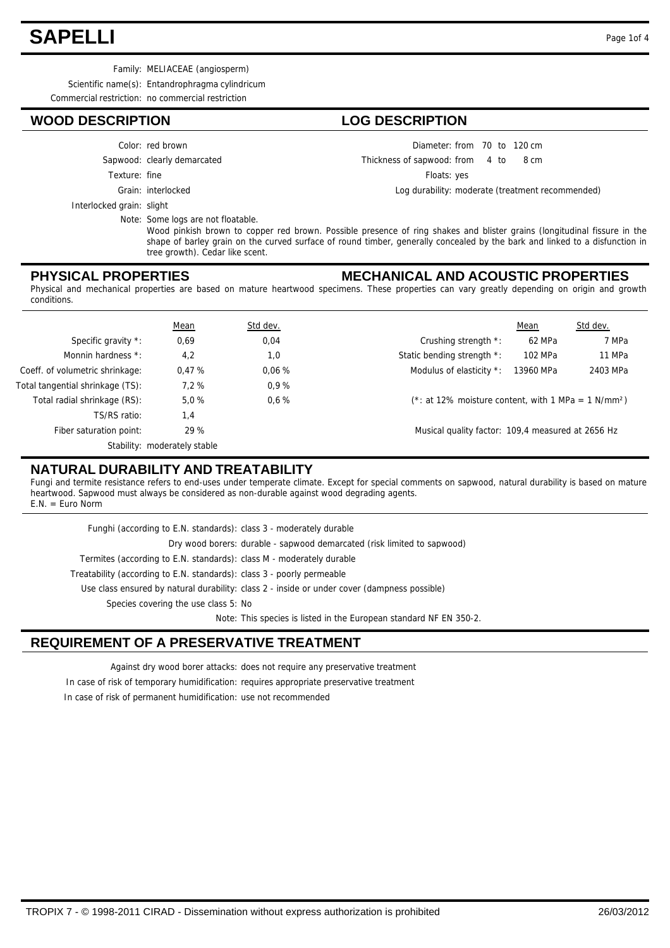## **SAPELLI** Page 1of 4

Family: MELIACEAE (angiosperm)

Scientific name(s): Entandrophragma cylindricum

Commercial restriction: no commercial restriction

## **WOOD DESCRIPTION LOG DESCRIPTION**

- Color: red brown
- Sapwood: clearly demarcated
- Texture: fine
	-
	-
	- Grain: interlocked
- Interlocked grain: slight

Note: Some logs are not floatable.

Wood pinkish brown to copper red brown. Possible presence of ring shakes and blister grains (longitudinal fissure in the shape of barley grain on the curved surface of round timber, generally concealed by the bark and linked to a disfunction in tree growth). Cedar like scent.

#### **PHYSICAL PROPERTIES**

#### **MECHANICAL AND ACOUSTIC PROPERTIES**

Diameter: from 70 to 120 cm

Floats: yes

Thickness of sapwood:

 $from 4 to 8 cm$ 

Log durability: moderate (treatment recommended)

Physical and mechanical properties are based on mature heartwood specimens. These properties can vary greatly depending on origin and growth conditions.

|                                  | Mean                         | Std dev. |                                                                   | Mean      | Std dev. |
|----------------------------------|------------------------------|----------|-------------------------------------------------------------------|-----------|----------|
| Specific gravity *:              | 0,69                         | 0,04     | Crushing strength *:                                              | 62 MPa    | 7 MPa    |
| Monnin hardness *:               | 4,2                          | 1,0      | Static bending strength *:                                        | 102 MPa   | 11 MPa   |
| Coeff. of volumetric shrinkage:  | 0.47%                        | 0.06%    | Modulus of elasticity *:                                          | 13960 MPa | 2403 MPa |
| Total tangential shrinkage (TS): | 7.2%                         | 0,9%     |                                                                   |           |          |
| Total radial shrinkage (RS):     | 5.0%                         | $0.6 \%$ | $(*:$ at 12% moisture content, with 1 MPa = 1 N/mm <sup>2</sup> ) |           |          |
| TS/RS ratio:                     | 1,4                          |          |                                                                   |           |          |
| Fiber saturation point:          | 29 %                         |          | Musical quality factor: 109,4 measured at 2656 Hz                 |           |          |
|                                  | Stability: moderately stable |          |                                                                   |           |          |

## **NATURAL DURABILITY AND TREATABILITY**

Fungi and termite resistance refers to end-uses under temperate climate. Except for special comments on sapwood, natural durability is based on mature heartwood. Sapwood must always be considered as non-durable against wood degrading agents.  $E.N. = Euro Norm$ 

| Funghi (according to E.N. standards): class 3 - moderately durable                           |
|----------------------------------------------------------------------------------------------|
| Dry wood borers: durable - sapwood demarcated (risk limited to sapwood)                      |
| Termites (according to E.N. standards): class M - moderately durable                         |
| Treatability (according to E.N. standards): class 3 - poorly permeable                       |
| Use class ensured by natural durability: class 2 - inside or under cover (dampness possible) |
| Species covering the use class 5: No                                                         |
| Note: This species is listed in the European standard NF EN 350-2.                           |

## **REQUIREMENT OF A PRESERVATIVE TREATMENT**

Against dry wood borer attacks: does not require any preservative treatment In case of risk of temporary humidification: requires appropriate preservative treatment In case of risk of permanent humidification: use not recommended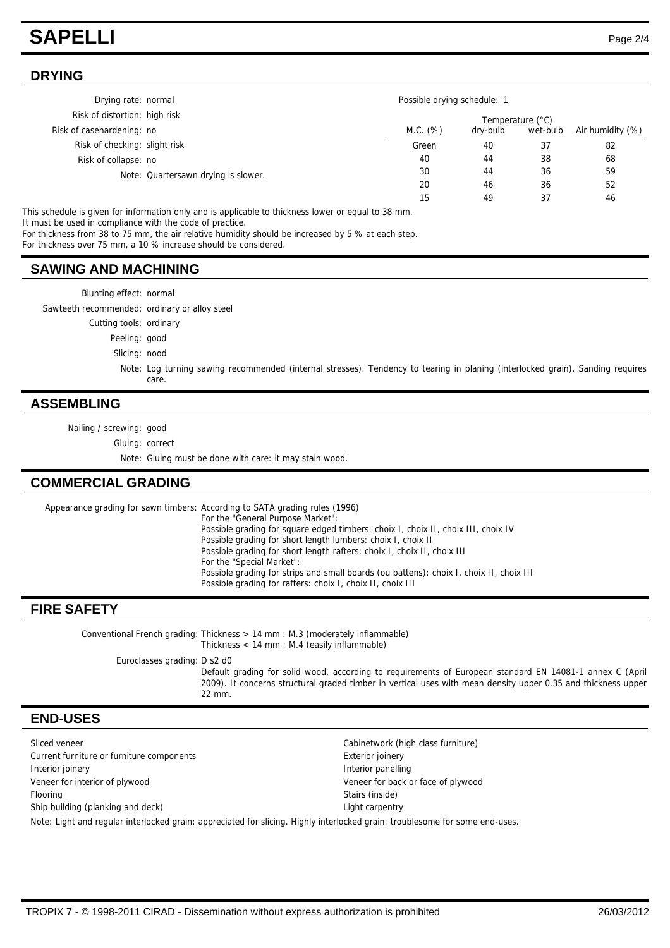## **SAPELLI** Page 2/4

#### **DRYING**

| Drying rate: normal           |                                     |          | Possible drying schedule: 1 |          |                  |  |
|-------------------------------|-------------------------------------|----------|-----------------------------|----------|------------------|--|
| Risk of distortion: high risk |                                     |          | Temperature (°C)            |          |                  |  |
| Risk of casehardening: no     |                                     | M.C. (%) | dry-bulb                    | wet-bulb | Air humidity (%) |  |
| Risk of checking: slight risk |                                     | Green    | 40                          | 37       | 82               |  |
| Risk of collapse: no          |                                     | 40       | 44                          | 38       | 68               |  |
|                               | Note: Quartersawn drying is slower. | 30       | 44                          | 36       | 59               |  |
|                               |                                     | 20       | 46                          | 36       | 52               |  |
|                               |                                     | 15       | 49                          | 37       | 46               |  |

This schedule is given for information only and is applicable to thickness lower or equal to 38 mm.

It must be used in compliance with the code of practice.

For thickness from 38 to 75 mm, the air relative humidity should be increased by 5 % at each step.

For thickness over 75 mm, a 10 % increase should be considered.

### **SAWING AND MACHINING**

| Blunting effect: normal |  |
|-------------------------|--|

Sawteeth recommended: ordinary or alloy steel

Cutting tools: ordinary

Peeling: good

Slicing: nood

Note: Log turning sawing recommended (internal stresses). Tendency to tearing in planing (interlocked grain). Sanding requires care.

#### **ASSEMBLING**

Nailing / screwing: good

Gluing: correct

Note: Gluing must be done with care: it may stain wood.

## **COMMERCIAL GRADING**

Appearance grading for sawn timbers: According to SATA grading rules (1996) For the "General Purpose Market": Possible grading for square edged timbers: choix I, choix II, choix III, choix IV Possible grading for short length lumbers: choix I, choix II Possible grading for short length rafters: choix I, choix II, choix III For the "Special Market": Possible grading for strips and small boards (ou battens): choix I, choix II, choix III

Possible grading for rafters: choix I, choix II, choix III

#### **FIRE SAFETY**

Conventional French grading: Thickness > 14 mm : M.3 (moderately inflammable) Thickness < 14 mm : M.4 (easily inflammable)

Euroclasses grading: D s2 d0

Default grading for solid wood, according to requirements of European standard EN 14081-1 annex C (April 2009). It concerns structural graded timber in vertical uses with mean density upper 0.35 and thickness upper 22 mm.

#### **END-USES**

Current furniture or furniture components exterior ioinery Interior joinery **Interior panelling** Veneer for interior of plywood Veneer for back or face of plywood Flooring Stairs (inside) Ship building (planking and deck) and the control of the carpentry control of the carpentry

Sliced veneer **Cabinetwork (high class furniture)** Cabinetwork (high class furniture)

Note: Light and regular interlocked grain: appreciated for slicing. Highly interlocked grain: troublesome for some end-uses.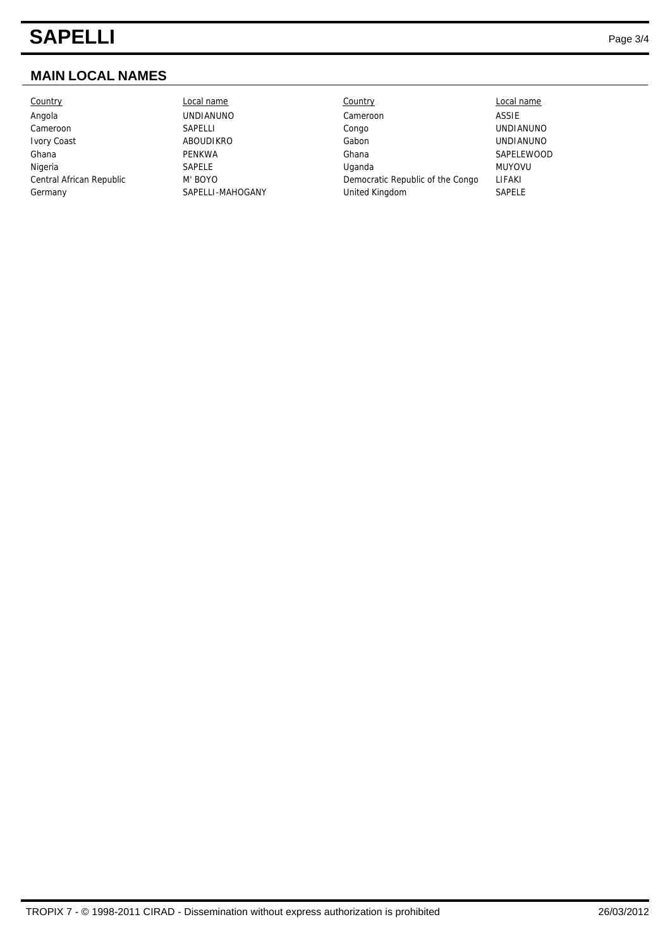## **SAPELLI** Page 3/4

## **MAIN LOCAL NAMES**

Country Local name Country Local name

Angola UNDIANUNO Cameroon ASSIE Cameroon SAPELLI SAPELLI Congo Congo UNDIANUNO Ivory Coast **ABOUDIKRO** Gabon Gabon UNDIANUNO Ghana **Calculation Contract Contract Contract Contract Contract Contract Contract Contract Contract Contract Contract Contract Contract Contract Contract Contract Contract Contract Contract Contract Contract Contract Contr** Nigeria SAPELE Uganda MUYOVU Central African Republic M' BOYO Democratic Republic of the Congo LIFAKI Germany SAPELLI-MAHOGANY United Kingdom SAPELE